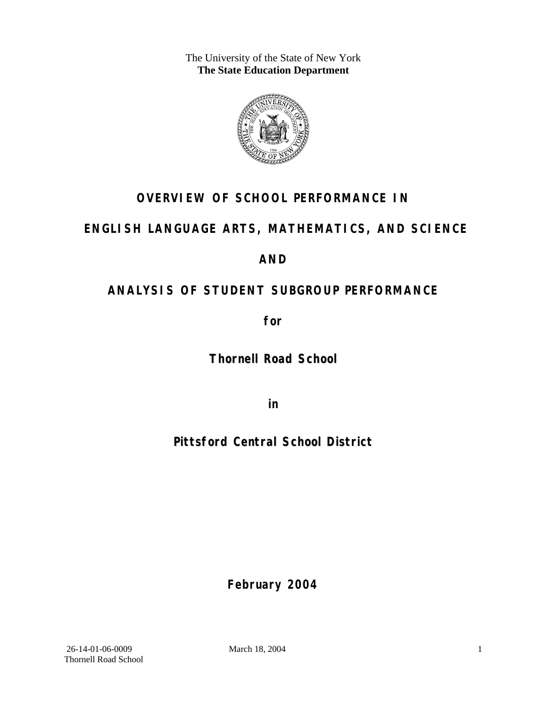The University of the State of New York **The State Education Department** 



## **OVERVIEW OF SCHOOL PERFORMANCE IN**

## **ENGLISH LANGUAGE ARTS, MATHEMATICS, AND SCIENCE**

### **AND**

## **ANALYSIS OF STUDENT SUBGROUP PERFORMANCE**

**for** 

**Thornell Road School**

**in** 

## **Pittsford Central School District**

**February 2004**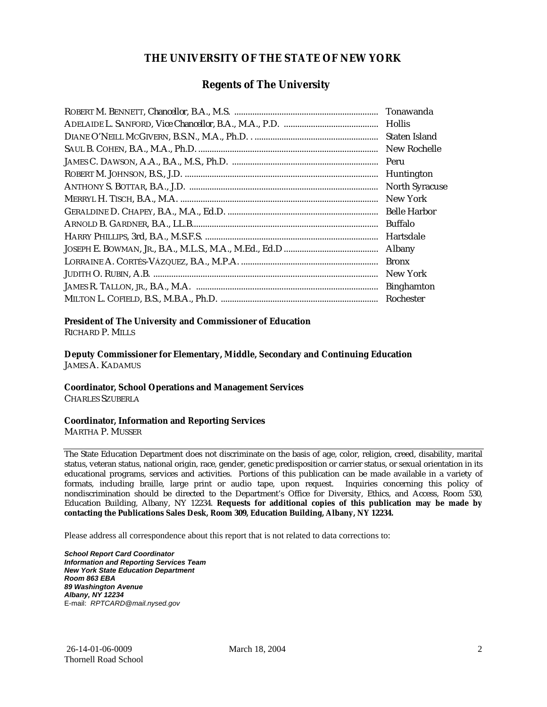#### **THE UNIVERSITY OF THE STATE OF NEW YORK**

#### **Regents of The University**

| Tonawanda             |
|-----------------------|
| <b>Hollis</b>         |
| Staten Island         |
| New Rochelle          |
| Peru                  |
| Huntington            |
| <b>North Syracuse</b> |
| New York              |
| <b>Belle Harbor</b>   |
| <b>Buffalo</b>        |
| Hartsdale             |
| Albany                |
| <b>Bronx</b>          |
| New York              |
| <b>Binghamton</b>     |
| Rochester             |

#### **President of The University and Commissioner of Education**

RICHARD P. MILLS

**Deputy Commissioner for Elementary, Middle, Secondary and Continuing Education**  JAMES A. KADAMUS

#### **Coordinator, School Operations and Management Services**

CHARLES SZUBERLA

#### **Coordinator, Information and Reporting Services**

MARTHA P. MUSSER

The State Education Department does not discriminate on the basis of age, color, religion, creed, disability, marital status, veteran status, national origin, race, gender, genetic predisposition or carrier status, or sexual orientation in its educational programs, services and activities. Portions of this publication can be made available in a variety of formats, including braille, large print or audio tape, upon request. Inquiries concerning this policy of nondiscrimination should be directed to the Department's Office for Diversity, Ethics, and Access, Room 530, Education Building, Albany, NY 12234. **Requests for additional copies of this publication may be made by contacting the Publications Sales Desk, Room 309, Education Building, Albany, NY 12234.** 

Please address all correspondence about this report that is not related to data corrections to:

*School Report Card Coordinator Information and Reporting Services Team New York State Education Department Room 863 EBA 89 Washington Avenue Albany, NY 12234*  E-mail: *RPTCARD@mail.nysed.gov*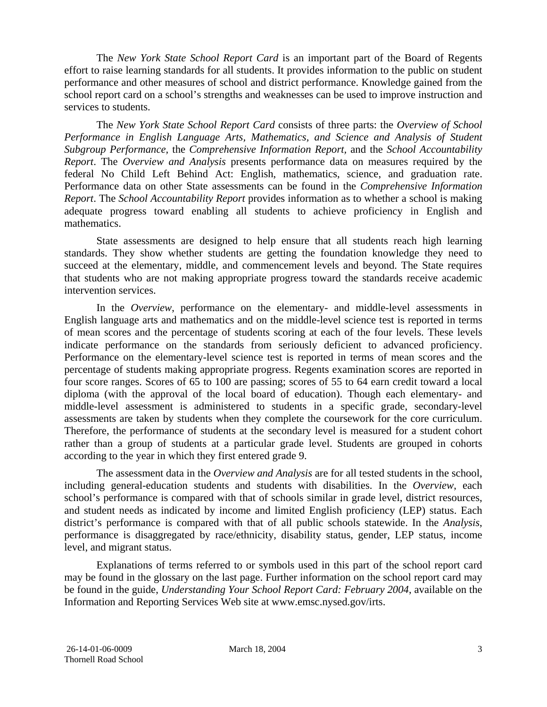The *New York State School Report Card* is an important part of the Board of Regents effort to raise learning standards for all students. It provides information to the public on student performance and other measures of school and district performance. Knowledge gained from the school report card on a school's strengths and weaknesses can be used to improve instruction and services to students.

The *New York State School Report Card* consists of three parts: the *Overview of School Performance in English Language Arts, Mathematics, and Science and Analysis of Student Subgroup Performance,* the *Comprehensive Information Report,* and the *School Accountability Report*. The *Overview and Analysis* presents performance data on measures required by the federal No Child Left Behind Act: English, mathematics, science, and graduation rate. Performance data on other State assessments can be found in the *Comprehensive Information Report*. The *School Accountability Report* provides information as to whether a school is making adequate progress toward enabling all students to achieve proficiency in English and mathematics.

State assessments are designed to help ensure that all students reach high learning standards. They show whether students are getting the foundation knowledge they need to succeed at the elementary, middle, and commencement levels and beyond. The State requires that students who are not making appropriate progress toward the standards receive academic intervention services.

In the *Overview*, performance on the elementary- and middle-level assessments in English language arts and mathematics and on the middle-level science test is reported in terms of mean scores and the percentage of students scoring at each of the four levels. These levels indicate performance on the standards from seriously deficient to advanced proficiency. Performance on the elementary-level science test is reported in terms of mean scores and the percentage of students making appropriate progress. Regents examination scores are reported in four score ranges. Scores of 65 to 100 are passing; scores of 55 to 64 earn credit toward a local diploma (with the approval of the local board of education). Though each elementary- and middle-level assessment is administered to students in a specific grade, secondary-level assessments are taken by students when they complete the coursework for the core curriculum. Therefore, the performance of students at the secondary level is measured for a student cohort rather than a group of students at a particular grade level. Students are grouped in cohorts according to the year in which they first entered grade 9.

The assessment data in the *Overview and Analysis* are for all tested students in the school, including general-education students and students with disabilities. In the *Overview*, each school's performance is compared with that of schools similar in grade level, district resources, and student needs as indicated by income and limited English proficiency (LEP) status. Each district's performance is compared with that of all public schools statewide. In the *Analysis*, performance is disaggregated by race/ethnicity, disability status, gender, LEP status, income level, and migrant status.

Explanations of terms referred to or symbols used in this part of the school report card may be found in the glossary on the last page. Further information on the school report card may be found in the guide, *Understanding Your School Report Card: February 2004*, available on the Information and Reporting Services Web site at www.emsc.nysed.gov/irts.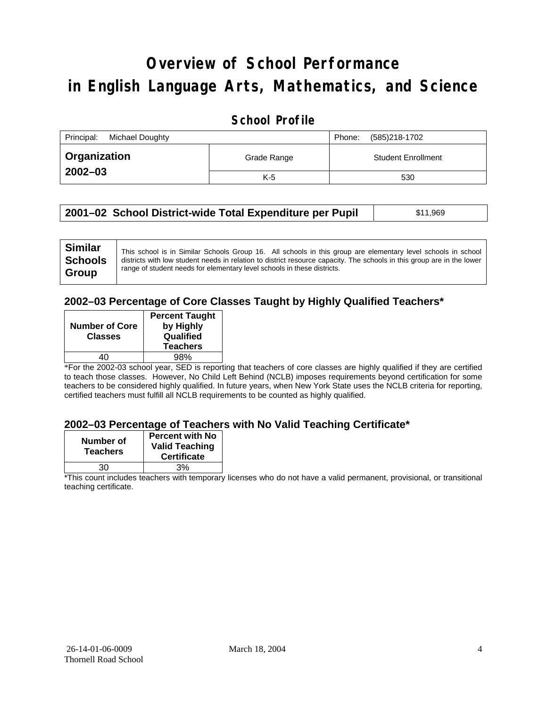# **Overview of School Performance in English Language Arts, Mathematics, and Science**

### **School Profile**

| Principal:<br>Michael Doughty |             | (585)218-1702<br>Phone:   |
|-------------------------------|-------------|---------------------------|
| <b>Organization</b>           | Grade Range | <b>Student Enrollment</b> |
| $2002 - 03$                   | $K-5$       | 530                       |

| 2001–02 School District-wide Total Expenditure per Pupil | \$11,969 |
|----------------------------------------------------------|----------|
|----------------------------------------------------------|----------|

#### **2002–03 Percentage of Core Classes Taught by Highly Qualified Teachers\***

| <b>Number of Core</b><br><b>Classes</b> | <b>Percent Taught</b><br>by Highly<br>Qualified<br><b>Teachers</b> |
|-----------------------------------------|--------------------------------------------------------------------|
|                                         |                                                                    |
| 4Λ                                      | 98%                                                                |
|                                         |                                                                    |

\*For the 2002-03 school year, SED is reporting that teachers of core classes are highly qualified if they are certified to teach those classes. However, No Child Left Behind (NCLB) imposes requirements beyond certification for some teachers to be considered highly qualified. In future years, when New York State uses the NCLB criteria for reporting, certified teachers must fulfill all NCLB requirements to be counted as highly qualified.

#### **2002–03 Percentage of Teachers with No Valid Teaching Certificate\***

| Number of<br><b>Teachers</b> | <b>Percent with No</b><br><b>Valid Teaching</b><br><b>Certificate</b> |
|------------------------------|-----------------------------------------------------------------------|
| 30                           | 3%                                                                    |

\*This count includes teachers with temporary licenses who do not have a valid permanent, provisional, or transitional teaching certificate.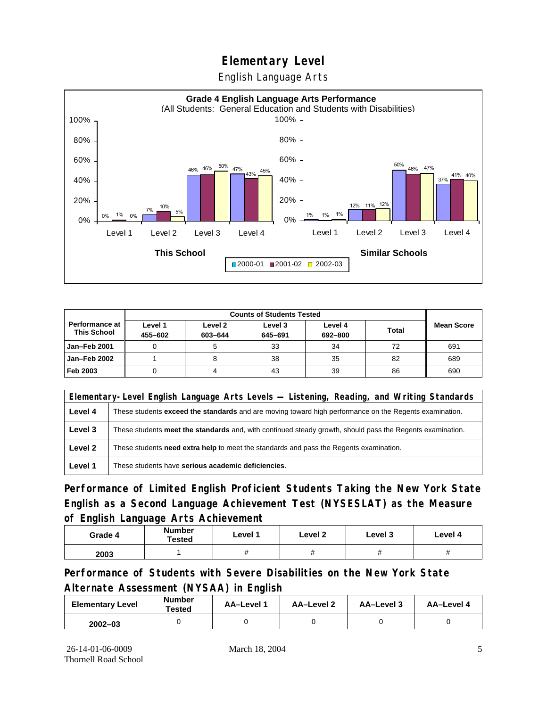English Language Arts



|                                        |                    | <b>Counts of Students Tested</b> |                    |                    |              |                   |
|----------------------------------------|--------------------|----------------------------------|--------------------|--------------------|--------------|-------------------|
| Performance at I<br><b>This School</b> | Level 1<br>455-602 | Level 2<br>603-644               | Level 3<br>645-691 | Level 4<br>692-800 | <b>Total</b> | <b>Mean Score</b> |
| Jan-Feb 2001                           |                    |                                  | 33                 | 34                 | 72           | 691               |
| Jan-Feb 2002                           |                    |                                  | 38                 | 35                 | 82           | 689               |
| Feb 2003                               |                    |                                  | 43                 | 39                 | 86           | 690               |

|         | Elementary-Level English Language Arts Levels — Listening, Reading, and Writing Standards                 |  |  |  |  |
|---------|-----------------------------------------------------------------------------------------------------------|--|--|--|--|
| Level 4 | These students exceed the standards and are moving toward high performance on the Regents examination.    |  |  |  |  |
| Level 3 | These students meet the standards and, with continued steady growth, should pass the Regents examination. |  |  |  |  |
| Level 2 | These students <b>need extra help</b> to meet the standards and pass the Regents examination.             |  |  |  |  |
| Level 1 | These students have serious academic deficiencies.                                                        |  |  |  |  |

**Performance of Limited English Proficient Students Taking the New York State English as a Second Language Achievement Test (NYSESLAT) as the Measure of English Language Arts Achievement**

| Grade 4 | <b>Number</b><br>Tested | Level 1 | Level 2 | Level 3 | Level 4      |
|---------|-------------------------|---------|---------|---------|--------------|
| 2003    |                         |         | π       | #       | $^{\rm \pi}$ |

**Performance of Students with Severe Disabilities on the New York State Alternate Assessment (NYSAA) in English** 

| <b>Elementary Level</b> | <b>Number</b><br>Tested | AA-Level 1 | AA-Level 2 | AA-Level 3 | AA-Level 4 |
|-------------------------|-------------------------|------------|------------|------------|------------|
| $2002 - 03$             |                         |            |            |            |            |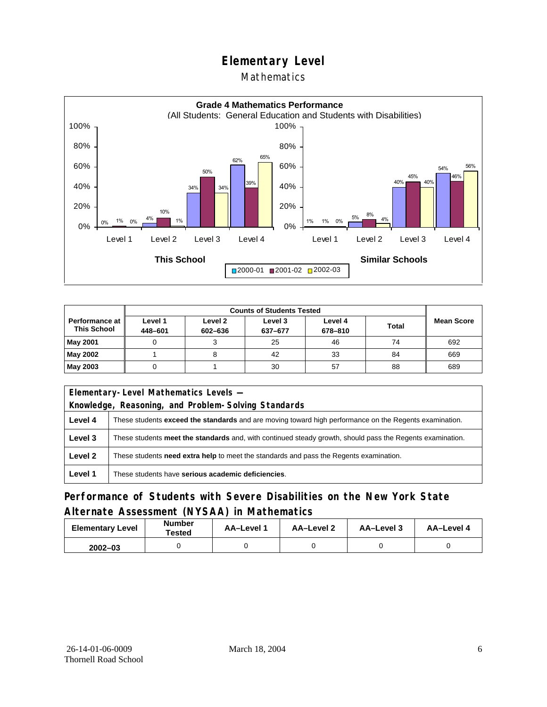### Mathematics



|                                               | <b>Counts of Students Tested</b> |                    |                    |                    |              |                   |
|-----------------------------------------------|----------------------------------|--------------------|--------------------|--------------------|--------------|-------------------|
| <b>Performance at I</b><br><b>This School</b> | Level 1<br>448-601               | Level 2<br>602-636 | Level 3<br>637-677 | Level 4<br>678-810 | <b>Total</b> | <b>Mean Score</b> |
| <b>May 2001</b>                               |                                  |                    | 25                 | 46                 | 74           | 692               |
| May 2002                                      |                                  |                    | 42                 | 33                 | 84           | 669               |
| May 2003                                      |                                  |                    | 30                 | 57                 | 88           | 689               |

|         | Elementary-Level Mathematics Levels -                                                                     |  |  |  |  |
|---------|-----------------------------------------------------------------------------------------------------------|--|--|--|--|
|         | Knowledge, Reasoning, and Problem-Solving Standards                                                       |  |  |  |  |
| Level 4 | These students exceed the standards and are moving toward high performance on the Regents examination.    |  |  |  |  |
| Level 3 | These students meet the standards and, with continued steady growth, should pass the Regents examination. |  |  |  |  |
| Level 2 | These students need extra help to meet the standards and pass the Regents examination.                    |  |  |  |  |
| Level 1 | These students have serious academic deficiencies.                                                        |  |  |  |  |

### **Performance of Students with Severe Disabilities on the New York State Alternate Assessment (NYSAA) in Mathematics**

| <b>Elementary Level</b> | <b>Number</b><br>Tested | AA-Level 1 | AA-Level 2 | AA-Level 3 | AA-Level 4 |  |
|-------------------------|-------------------------|------------|------------|------------|------------|--|
| $2002 - 03$             |                         |            |            |            |            |  |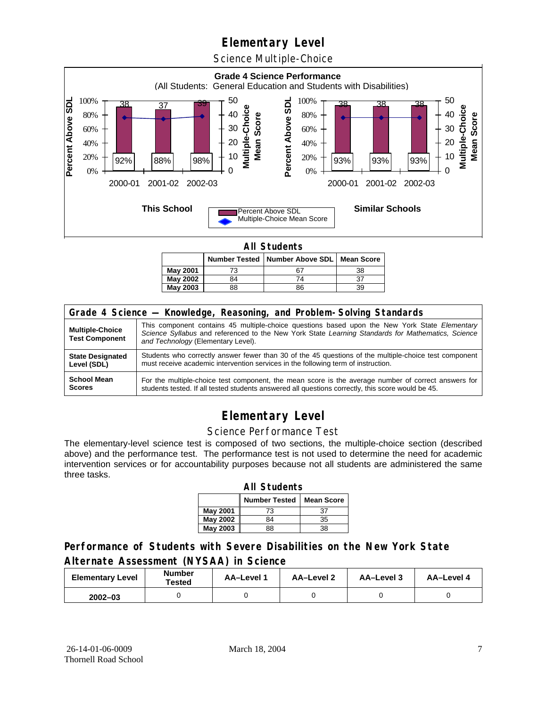Science Multiple-Choice



**All Students** 

|                 |    | Number Tested   Number Above SDL   Mean Score |    |
|-----------------|----|-----------------------------------------------|----|
| <b>May 2001</b> |    |                                               | 38 |
| <b>May 2002</b> | 84 |                                               | 27 |
| May 2003        | 88 | 86                                            | 39 |

| Grade 4 Science - Knowledge, Reasoning, and Problem-Solving Standards |                                                                                                                                                                                                                                          |  |  |  |  |  |
|-----------------------------------------------------------------------|------------------------------------------------------------------------------------------------------------------------------------------------------------------------------------------------------------------------------------------|--|--|--|--|--|
| <b>Multiple-Choice</b><br><b>Test Component</b>                       | This component contains 45 multiple-choice questions based upon the New York State Elementary<br>Science Syllabus and referenced to the New York State Learning Standards for Mathematics, Science<br>and Technology (Elementary Level). |  |  |  |  |  |
| <b>State Designated</b>                                               | Students who correctly answer fewer than 30 of the 45 questions of the multiple-choice test component                                                                                                                                    |  |  |  |  |  |
| Level (SDL)                                                           | must receive academic intervention services in the following term of instruction.                                                                                                                                                        |  |  |  |  |  |
| <b>School Mean</b>                                                    | For the multiple-choice test component, the mean score is the average number of correct answers for                                                                                                                                      |  |  |  |  |  |
| <b>Scores</b>                                                         | students tested. If all tested students answered all questions correctly, this score would be 45.                                                                                                                                        |  |  |  |  |  |

## **Elementary Level**

#### Science Performance Test

The elementary-level science test is composed of two sections, the multiple-choice section (described above) and the performance test. The performance test is not used to determine the need for academic intervention services or for accountability purposes because not all students are administered the same three tasks.

| <b>All Students</b>                       |    |    |  |  |  |  |  |  |  |
|-------------------------------------------|----|----|--|--|--|--|--|--|--|
| <b>Number Tested</b><br><b>Mean Score</b> |    |    |  |  |  |  |  |  |  |
| May 2001                                  | 73 | 37 |  |  |  |  |  |  |  |
| May 2002                                  | 84 | 35 |  |  |  |  |  |  |  |
| <b>May 2003</b>                           | 88 | 38 |  |  |  |  |  |  |  |

### **Performance of Students with Severe Disabilities on the New York State Alternate Assessment (NYSAA) in Science**

| <b>Elementary Level</b> | <b>Number</b><br>Tested | AA-Level 1 | <b>AA-Level 2</b> | AA-Level 3 | AA-Level 4 |  |
|-------------------------|-------------------------|------------|-------------------|------------|------------|--|
| $2002 - 03$             |                         |            |                   |            |            |  |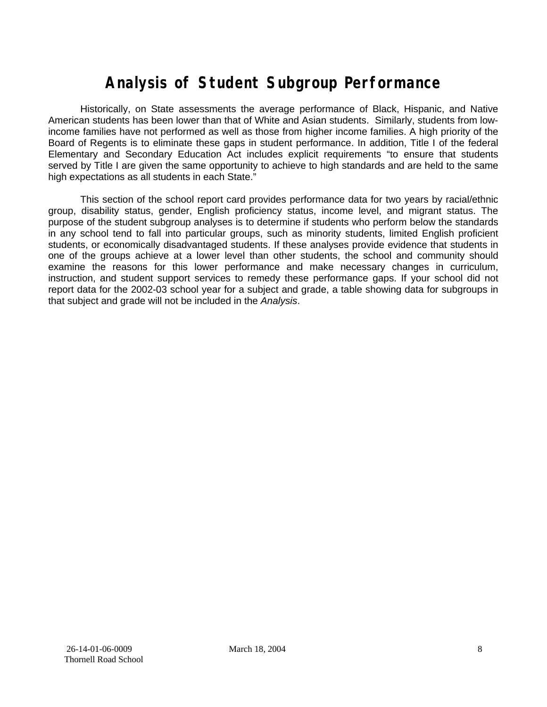# **Analysis of Student Subgroup Performance**

Historically, on State assessments the average performance of Black, Hispanic, and Native American students has been lower than that of White and Asian students. Similarly, students from lowincome families have not performed as well as those from higher income families. A high priority of the Board of Regents is to eliminate these gaps in student performance. In addition, Title I of the federal Elementary and Secondary Education Act includes explicit requirements "to ensure that students served by Title I are given the same opportunity to achieve to high standards and are held to the same high expectations as all students in each State."

This section of the school report card provides performance data for two years by racial/ethnic group, disability status, gender, English proficiency status, income level, and migrant status. The purpose of the student subgroup analyses is to determine if students who perform below the standards in any school tend to fall into particular groups, such as minority students, limited English proficient students, or economically disadvantaged students. If these analyses provide evidence that students in one of the groups achieve at a lower level than other students, the school and community should examine the reasons for this lower performance and make necessary changes in curriculum, instruction, and student support services to remedy these performance gaps. If your school did not report data for the 2002-03 school year for a subject and grade, a table showing data for subgroups in that subject and grade will not be included in the *Analysis*.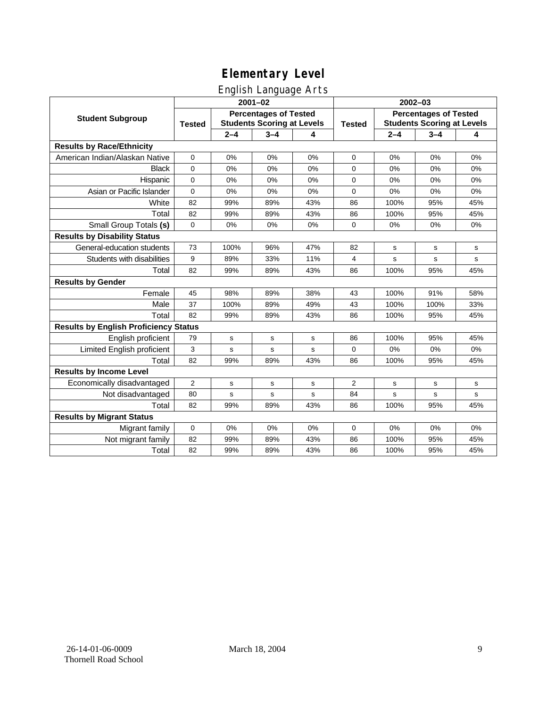English Language Arts

|                                              | $2001 - 02$                                                                        |         |             |               | $2002 - 03$                                                       |         |         |     |
|----------------------------------------------|------------------------------------------------------------------------------------|---------|-------------|---------------|-------------------------------------------------------------------|---------|---------|-----|
| <b>Student Subgroup</b>                      | <b>Percentages of Tested</b><br><b>Students Scoring at Levels</b><br><b>Tested</b> |         |             | <b>Tested</b> | <b>Percentages of Tested</b><br><b>Students Scoring at Levels</b> |         |         |     |
|                                              |                                                                                    | $2 - 4$ | $3 - 4$     | 4             |                                                                   | $2 - 4$ | $3 - 4$ | 4   |
| <b>Results by Race/Ethnicity</b>             |                                                                                    |         |             |               |                                                                   |         |         |     |
| American Indian/Alaskan Native               | 0                                                                                  | 0%      | 0%          | 0%            | $\mathbf 0$                                                       | 0%      | 0%      | 0%  |
| <b>Black</b>                                 | 0                                                                                  | 0%      | 0%          | 0%            | 0                                                                 | 0%      | 0%      | 0%  |
| Hispanic                                     | 0                                                                                  | 0%      | 0%          | 0%            | $\mathbf 0$                                                       | 0%      | 0%      | 0%  |
| Asian or Pacific Islander                    | 0                                                                                  | 0%      | 0%          | 0%            | $\mathbf 0$                                                       | 0%      | 0%      | 0%  |
| White                                        | 82                                                                                 | 99%     | 89%         | 43%           | 86                                                                | 100%    | 95%     | 45% |
| Total                                        | 82                                                                                 | 99%     | 89%         | 43%           | 86                                                                | 100%    | 95%     | 45% |
| Small Group Totals (s)                       | 0                                                                                  | 0%      | 0%          | 0%            | 0                                                                 | 0%      | 0%      | 0%  |
| <b>Results by Disability Status</b>          |                                                                                    |         |             |               |                                                                   |         |         |     |
| General-education students                   | 73                                                                                 | 100%    | 96%         | 47%           | 82                                                                | s       | s       | s   |
| Students with disabilities                   | 9                                                                                  | 89%     | 33%         | 11%           | 4                                                                 | s       | s       | s   |
| Total                                        | 82                                                                                 | 99%     | 89%         | 43%           | 86                                                                | 100%    | 95%     | 45% |
| <b>Results by Gender</b>                     |                                                                                    |         |             |               |                                                                   |         |         |     |
| Female                                       | 45                                                                                 | 98%     | 89%         | 38%           | 43                                                                | 100%    | 91%     | 58% |
| Male                                         | 37                                                                                 | 100%    | 89%         | 49%           | 43                                                                | 100%    | 100%    | 33% |
| Total                                        | 82                                                                                 | 99%     | 89%         | 43%           | 86                                                                | 100%    | 95%     | 45% |
| <b>Results by English Proficiency Status</b> |                                                                                    |         |             |               |                                                                   |         |         |     |
| English proficient                           | 79                                                                                 | s       | s           | s             | 86                                                                | 100%    | 95%     | 45% |
| Limited English proficient                   | 3                                                                                  | s       | $\mathbf s$ | S             | $\Omega$                                                          | 0%      | 0%      | 0%  |
| Total                                        | 82                                                                                 | 99%     | 89%         | 43%           | 86                                                                | 100%    | 95%     | 45% |
| <b>Results by Income Level</b>               |                                                                                    |         |             |               |                                                                   |         |         |     |
| Economically disadvantaged                   | $\overline{2}$                                                                     | s       | s           | s             | 2                                                                 | s       | s       | s   |
| Not disadvantaged                            | 80                                                                                 | s       | $\mathbf s$ | s             | 84                                                                | s       | s       | s   |
| Total                                        | 82                                                                                 | 99%     | 89%         | 43%           | 86                                                                | 100%    | 95%     | 45% |
| <b>Results by Migrant Status</b>             |                                                                                    |         |             |               |                                                                   |         |         |     |
| Migrant family                               | 0                                                                                  | 0%      | 0%          | 0%            | $\mathbf 0$                                                       | 0%      | 0%      | 0%  |
| Not migrant family                           | 82                                                                                 | 99%     | 89%         | 43%           | 86                                                                | 100%    | 95%     | 45% |
| Total                                        | 82                                                                                 | 99%     | 89%         | 43%           | 86                                                                | 100%    | 95%     | 45% |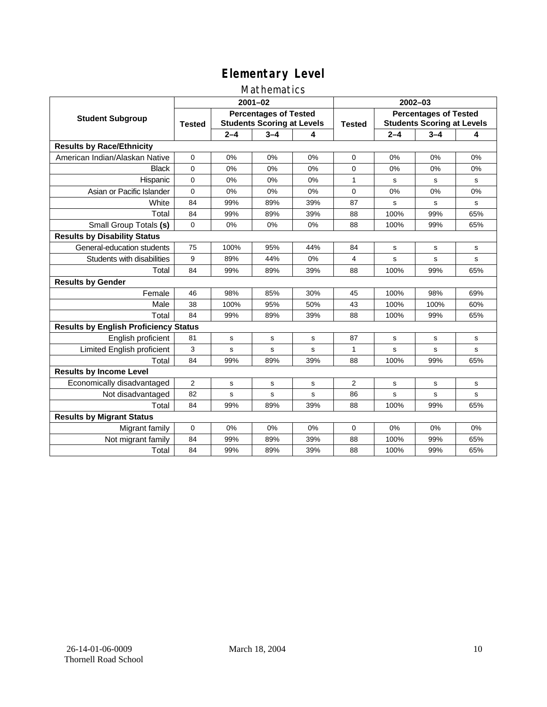### Mathematics

|                                              | $2001 - 02$                                                                        |             |             |               | $2002 - 03$                                                       |         |         |             |
|----------------------------------------------|------------------------------------------------------------------------------------|-------------|-------------|---------------|-------------------------------------------------------------------|---------|---------|-------------|
| <b>Student Subgroup</b>                      | <b>Percentages of Tested</b><br><b>Students Scoring at Levels</b><br><b>Tested</b> |             |             | <b>Tested</b> | <b>Percentages of Tested</b><br><b>Students Scoring at Levels</b> |         |         |             |
|                                              |                                                                                    | $2 - 4$     | $3 - 4$     | 4             |                                                                   | $2 - 4$ | $3 - 4$ | 4           |
| <b>Results by Race/Ethnicity</b>             |                                                                                    |             |             |               |                                                                   |         |         |             |
| American Indian/Alaskan Native               | $\mathbf 0$                                                                        | 0%          | 0%          | 0%            | $\Omega$                                                          | 0%      | 0%      | 0%          |
| <b>Black</b>                                 | 0                                                                                  | 0%          | 0%          | 0%            | $\Omega$                                                          | 0%      | 0%      | 0%          |
| Hispanic                                     | $\Omega$                                                                           | 0%          | 0%          | 0%            | 1                                                                 | s       | s       | s           |
| Asian or Pacific Islander                    | 0                                                                                  | 0%          | 0%          | 0%            | $\mathbf 0$                                                       | 0%      | 0%      | 0%          |
| White                                        | 84                                                                                 | 99%         | 89%         | 39%           | 87                                                                | s       | s       | s           |
| Total                                        | 84                                                                                 | 99%         | 89%         | 39%           | 88                                                                | 100%    | 99%     | 65%         |
| Small Group Totals (s)                       | $\Omega$                                                                           | 0%          | 0%          | 0%            | 88                                                                | 100%    | 99%     | 65%         |
| <b>Results by Disability Status</b>          |                                                                                    |             |             |               |                                                                   |         |         |             |
| General-education students                   | 75                                                                                 | 100%        | 95%         | 44%           | 84                                                                | s       | s       | s           |
| Students with disabilities                   | 9                                                                                  | 89%         | 44%         | 0%            | 4                                                                 | s       | s       | $\mathbf s$ |
| Total                                        | 84                                                                                 | 99%         | 89%         | 39%           | 88                                                                | 100%    | 99%     | 65%         |
| <b>Results by Gender</b>                     |                                                                                    |             |             |               |                                                                   |         |         |             |
| Female                                       | 46                                                                                 | 98%         | 85%         | 30%           | 45                                                                | 100%    | 98%     | 69%         |
| Male                                         | 38                                                                                 | 100%        | 95%         | 50%           | 43                                                                | 100%    | 100%    | 60%         |
| Total                                        | 84                                                                                 | 99%         | 89%         | 39%           | 88                                                                | 100%    | 99%     | 65%         |
| <b>Results by English Proficiency Status</b> |                                                                                    |             |             |               |                                                                   |         |         |             |
| English proficient                           | 81                                                                                 | $\mathbf s$ | $\mathbf s$ | $\mathbf s$   | 87                                                                | s       | s       | s           |
| Limited English proficient                   | 3                                                                                  | s           | $\mathbf s$ | s             | 1                                                                 | s       | s       | s           |
| Total                                        | 84                                                                                 | 99%         | 89%         | 39%           | 88                                                                | 100%    | 99%     | 65%         |
| <b>Results by Income Level</b>               |                                                                                    |             |             |               |                                                                   |         |         |             |
| Economically disadvantaged                   | 2                                                                                  | s           | $\mathbf s$ | s             | 2                                                                 | s       | s       | s           |
| Not disadvantaged                            | 82                                                                                 | s           | $\mathbf s$ | s             | 86                                                                | s       | s       | s           |
| Total                                        | 84                                                                                 | 99%         | 89%         | 39%           | 88                                                                | 100%    | 99%     | 65%         |
| <b>Results by Migrant Status</b>             |                                                                                    |             |             |               |                                                                   |         |         |             |
| Migrant family                               | 0                                                                                  | 0%          | 0%          | 0%            | $\mathbf 0$                                                       | 0%      | 0%      | 0%          |
| Not migrant family                           | 84                                                                                 | 99%         | 89%         | 39%           | 88                                                                | 100%    | 99%     | 65%         |
| Total                                        | 84                                                                                 | 99%         | 89%         | 39%           | 88                                                                | 100%    | 99%     | 65%         |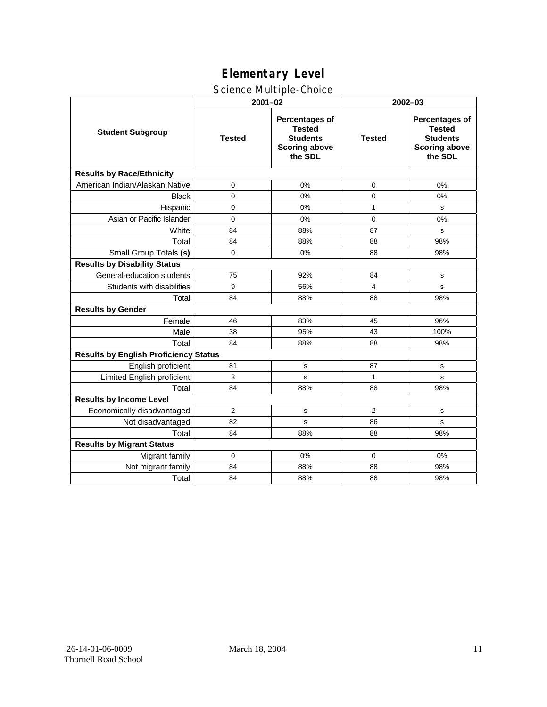### Science Multiple-Choice

|                                              | $2001 - 02$    |                                                                                       | $2002 - 03$   |                                                                                              |  |  |  |
|----------------------------------------------|----------------|---------------------------------------------------------------------------------------|---------------|----------------------------------------------------------------------------------------------|--|--|--|
| <b>Student Subgroup</b>                      | <b>Tested</b>  | Percentages of<br><b>Tested</b><br><b>Students</b><br><b>Scoring above</b><br>the SDL | <b>Tested</b> | <b>Percentages of</b><br><b>Tested</b><br><b>Students</b><br><b>Scoring above</b><br>the SDL |  |  |  |
| <b>Results by Race/Ethnicity</b>             |                |                                                                                       |               |                                                                                              |  |  |  |
| American Indian/Alaskan Native               | 0              | 0%                                                                                    | 0             | 0%                                                                                           |  |  |  |
| <b>Black</b>                                 | $\mathbf 0$    | 0%                                                                                    | 0             | 0%                                                                                           |  |  |  |
| Hispanic                                     | 0              | 0%                                                                                    | 1             | s                                                                                            |  |  |  |
| Asian or Pacific Islander                    | 0              | 0%                                                                                    | 0             | 0%                                                                                           |  |  |  |
| White                                        | 84             | 88%                                                                                   | 87            | s                                                                                            |  |  |  |
| Total                                        | 84             | 88%                                                                                   | 88            | 98%                                                                                          |  |  |  |
| Small Group Totals (s)                       | $\mathbf 0$    | 0%                                                                                    | 88            | 98%                                                                                          |  |  |  |
| <b>Results by Disability Status</b>          |                |                                                                                       |               |                                                                                              |  |  |  |
| General-education students                   | 75             | 92%                                                                                   | 84            | s                                                                                            |  |  |  |
| Students with disabilities                   | 9              | 56%                                                                                   | 4             | s                                                                                            |  |  |  |
| Total                                        | 84             | 88%                                                                                   | 88            | 98%                                                                                          |  |  |  |
| <b>Results by Gender</b>                     |                |                                                                                       |               |                                                                                              |  |  |  |
| Female                                       | 46             | 83%                                                                                   | 45            | 96%                                                                                          |  |  |  |
| Male                                         | 38             | 95%                                                                                   | 43            | 100%                                                                                         |  |  |  |
| Total                                        | 84             | 88%                                                                                   | 88            | 98%                                                                                          |  |  |  |
| <b>Results by English Proficiency Status</b> |                |                                                                                       |               |                                                                                              |  |  |  |
| English proficient                           | 81             | s                                                                                     | 87            | s                                                                                            |  |  |  |
| Limited English proficient                   | 3              | s                                                                                     | 1             | s                                                                                            |  |  |  |
| Total                                        | 84             | 88%                                                                                   | 88            | 98%                                                                                          |  |  |  |
| <b>Results by Income Level</b>               |                |                                                                                       |               |                                                                                              |  |  |  |
| Economically disadvantaged                   | $\overline{2}$ | s                                                                                     | 2             | s                                                                                            |  |  |  |
| Not disadvantaged                            | 82             | s                                                                                     | 86            | s                                                                                            |  |  |  |
| Total                                        | 84             | 88%                                                                                   | 88            | 98%                                                                                          |  |  |  |
| <b>Results by Migrant Status</b>             |                |                                                                                       |               |                                                                                              |  |  |  |
| Migrant family                               | 0              | 0%                                                                                    | 0             | 0%                                                                                           |  |  |  |
| Not migrant family                           | 84             | 88%                                                                                   | 88            | 98%                                                                                          |  |  |  |
| Total                                        | 84             | 88%                                                                                   | 88            | 98%                                                                                          |  |  |  |